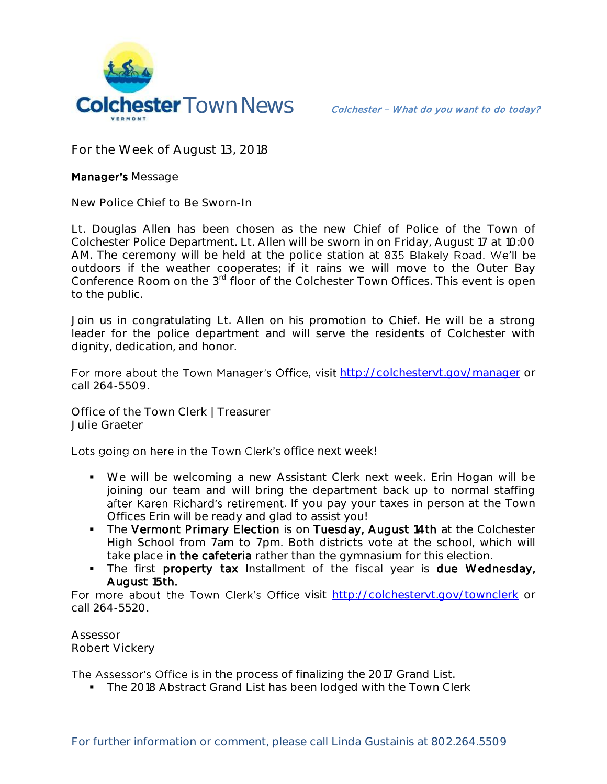

**For the Week of August 13, 2018**

## **Manager's Message**

**New Police Chief to Be Sworn-In** 

Lt. Douglas Allen has been chosen as the new Chief of Police of the Town of Colchester Police Department. Lt. Allen will be sworn in on Friday, August 17 at 10:00 AM. The ceremony will be held at the police station at 835 Blakely Road. We'll be outdoors if the weather cooperates; if it rains we will move to the Outer Bay Conference Room on the 3<sup>rd</sup> floor of the Colchester Town Offices. This event is open to the public.

Join us in congratulating Lt. Allen on his promotion to Chief. He will be a strong leader for the police department and will serve the residents of Colchester with dignity, dedication, and honor.

For more about the Town Manager's Office, visit <http://colchestervt.gov/manager> or call 264-5509.

**Office of the Town Clerk | Treasurer Julie Graeter**

Lots going on here in the Town Clerk's office next week!

- We will be welcoming a new Assistant Clerk next week. Erin Hogan will be joining our team and will bring the department back up to normal staffing after Karen Richard's retirement. If you pay your taxes in person at the Town Offices Erin will be ready and glad to assist you!
- The Vermont Primary Election is on Tuesday, August 14th at the Colchester High School from 7am to 7pm. Both districts vote at the school, which will take place in the cafeteria rather than the gymnasium for this election.
- The first property tax Installment of the fiscal year is due Wednesday, August 15th.

For more about the Town Clerk's Office visit <http://colchestervt.gov/townclerk> or call 264-5520.

**Assessor Robert Vickery**

The Assessor's Office is in the process of finalizing the 2017 Grand List.

The 2018 Abstract Grand List has been lodged with the Town Clerk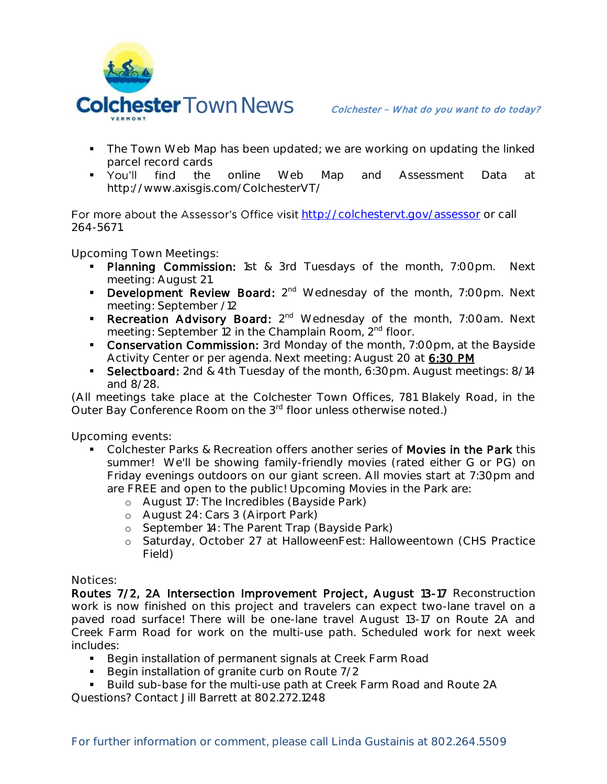

- The Town Web Map has been updated; we are working on updating the linked parcel record cards
- You'll find the online Web Map and Assessment Data at http://www.axisgis.com/ColchesterVT/

For more about the Assessor's Office visit <http://colchestervt.gov/assessor> or call 264-5671.

**Upcoming Town Meetings:**

- **Planning Commission:** 1st & 3rd Tuesdays of the month, 7:00pm. Next meeting: August 21.
- **Development Review Board:**  $2^{nd}$  Wednesday of the month, 7:00pm. Next meeting: September /12
- Recreation Advisory Board: 2<sup>nd</sup> Wednesday of the month, 7:00am. Next meeting: September 12 in the Champlain Room, 2<sup>nd</sup> floor.
- **Conservation Commission:** 3rd Monday of the month, 7:00pm, at the Bayside Activity Center or per agenda. Next meeting: August 20 at 6:30 PM
- Selectboard: 2nd & 4th Tuesday of the month, 6:30pm. August meetings: 8/14 and 8/28.

(All meetings take place at the Colchester Town Offices, 781 Blakely Road, in the Outer Bay Conference Room on the 3<sup>rd</sup> floor unless otherwise noted.)

**Upcoming events:** 

- Colchester Parks & Recreation offers another series of Movies in the Park this summer! We'll be showing family-friendly movies (rated either G or PG) on Friday evenings outdoors on our giant screen. All movies start at 7:30pm and are FREE and open to the public! Upcoming Movies in the Park are:
	- o August 17: The Incredibles (Bayside Park)
	- o August 24: Cars 3 (Airport Park)
	- o September 14: The Parent Trap (Bayside Park)
	- o Saturday, October 27 at HalloweenFest: Halloweentown (CHS Practice Field)

**Notices:** 

Routes 7/2, 2A Intersection Improvement Project, August 13-17 Reconstruction work is now finished on this project and travelers can expect two-lane travel on a paved road surface! There will be one-lane travel August 13-17 on Route 2A and Creek Farm Road for work on the multi-use path. Scheduled work for next week includes:

- **Begin installation of permanent signals at Creek Farm Road**
- Begin installation of granite curb on Route 7/2
- Build sub-base for the multi-use path at Creek Farm Road and Route 2A

Questions? Contact Jill Barrett at 802.272.1248